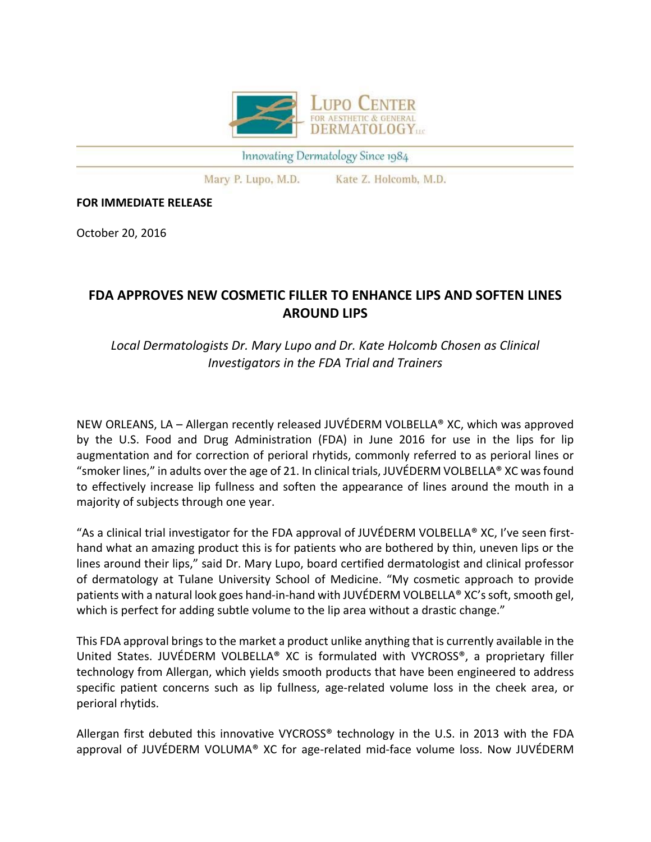

Innovating Dermatology Since 1984

Mary P. Lupo, M.D. Kate Z. Holcomb, M.D.

## **FOR IMMEDIATE RELEASE**

October 20, 2016

## **FDA APPROVES NEW COSMETIC FILLER TO ENHANCE LIPS AND SOFTEN LINES AROUND LIPS**

## *Local Dermatologists Dr. Mary Lupo and Dr. Kate Holcomb Chosen as Clinical Investigators in the FDA Trial and Trainers*

NEW ORLEANS, LA – Allergan recently released JUVÉDERM VOLBELLA® XC, which was approved by the U.S. Food and Drug Administration (FDA) in June 2016 for use in the lips for lip augmentation and for correction of perioral rhytids, commonly referred to as perioral lines or "smoker lines," in adults over the age of 21. In clinical trials, JUVÉDERM VOLBELLA® XC was found to effectively increase lip fullness and soften the appearance of lines around the mouth in a majority of subjects through one year.

"As a clinical trial investigator for the FDA approval of JUVÉDERM VOLBELLA® XC, I've seen first‐ hand what an amazing product this is for patients who are bothered by thin, uneven lips or the lines around their lips," said Dr. Mary Lupo, board certified dermatologist and clinical professor of dermatology at Tulane University School of Medicine. "My cosmetic approach to provide patients with a natural look goes hand-in-hand with JUVÉDERM VOLBELLA® XC's soft, smooth gel, which is perfect for adding subtle volume to the lip area without a drastic change."

This FDA approval brings to the market a product unlike anything that is currently available in the United States. JUVÉDERM VOLBELLA® XC is formulated with VYCROSS®, a proprietary filler technology from Allergan, which yields smooth products that have been engineered to address specific patient concerns such as lip fullness, age-related volume loss in the cheek area, or perioral rhytids.

Allergan first debuted this innovative VYCROSS® technology in the U.S. in 2013 with the FDA approval of JUVÉDERM VOLUMA<sup>®</sup> XC for age-related mid-face volume loss. Now JUVÉDERM